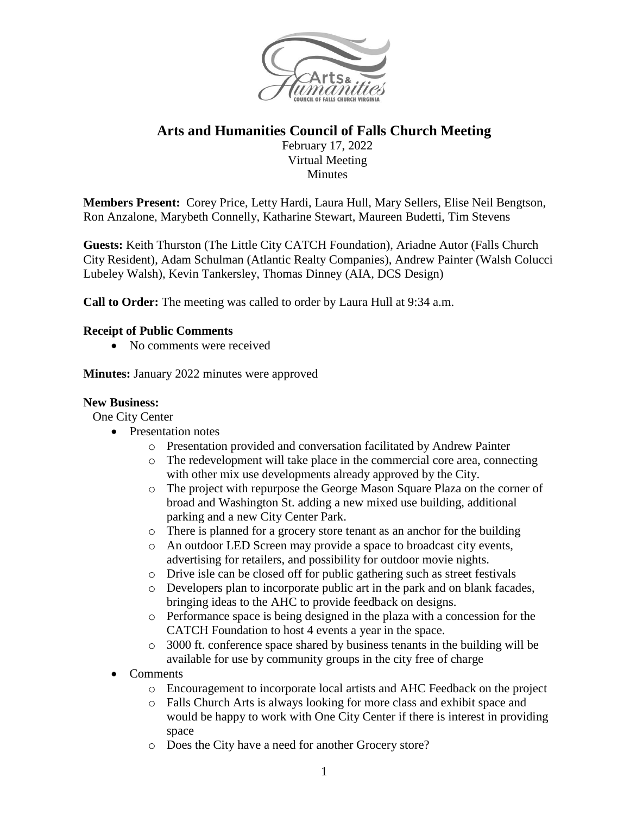

# **Arts and Humanities Council of Falls Church Meeting**

February 17, 2022 Virtual Meeting **Minutes** 

**Members Present:** Corey Price, Letty Hardi, Laura Hull, Mary Sellers, Elise Neil Bengtson, Ron Anzalone, Marybeth Connelly, Katharine Stewart, Maureen Budetti, Tim Stevens

**Guests:** Keith Thurston (The Little City CATCH Foundation), Ariadne Autor (Falls Church City Resident), Adam Schulman (Atlantic Realty Companies), Andrew Painter (Walsh Colucci Lubeley Walsh), Kevin Tankersley, Thomas Dinney (AIA, DCS Design)

**Call to Order:** The meeting was called to order by Laura Hull at 9:34 a.m.

#### **Receipt of Public Comments**

• No comments were received

**Minutes:** January 2022 minutes were approved

#### **New Business:**

One City Center

- Presentation notes
	- o Presentation provided and conversation facilitated by Andrew Painter
	- o The redevelopment will take place in the commercial core area, connecting with other mix use developments already approved by the City.
	- o The project with repurpose the George Mason Square Plaza on the corner of broad and Washington St. adding a new mixed use building, additional parking and a new City Center Park.
	- o There is planned for a grocery store tenant as an anchor for the building
	- o An outdoor LED Screen may provide a space to broadcast city events, advertising for retailers, and possibility for outdoor movie nights.
	- o Drive isle can be closed off for public gathering such as street festivals
	- o Developers plan to incorporate public art in the park and on blank facades, bringing ideas to the AHC to provide feedback on designs.
	- o Performance space is being designed in the plaza with a concession for the CATCH Foundation to host 4 events a year in the space.
	- o 3000 ft. conference space shared by business tenants in the building will be available for use by community groups in the city free of charge
- Comments
	- o Encouragement to incorporate local artists and AHC Feedback on the project
	- o Falls Church Arts is always looking for more class and exhibit space and would be happy to work with One City Center if there is interest in providing space
	- o Does the City have a need for another Grocery store?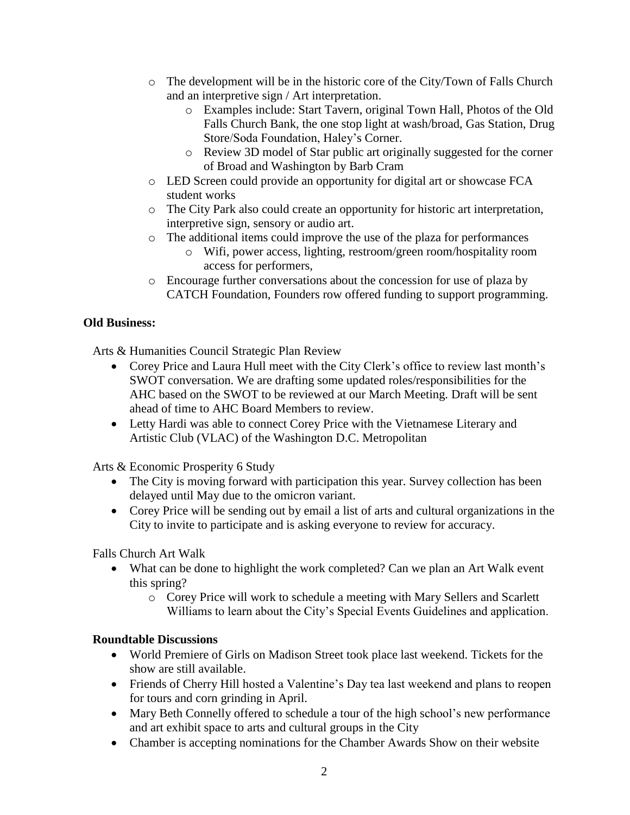- $\circ$  The development will be in the historic core of the City/Town of Falls Church and an interpretive sign / Art interpretation.
	- o Examples include: Start Tavern, original Town Hall, Photos of the Old Falls Church Bank, the one stop light at wash/broad, Gas Station, Drug Store/Soda Foundation, Haley's Corner.
	- o Review 3D model of Star public art originally suggested for the corner of Broad and Washington by Barb Cram
- o LED Screen could provide an opportunity for digital art or showcase FCA student works
- o The City Park also could create an opportunity for historic art interpretation, interpretive sign, sensory or audio art.
- o The additional items could improve the use of the plaza for performances
	- o Wifi, power access, lighting, restroom/green room/hospitality room access for performers,
- o Encourage further conversations about the concession for use of plaza by CATCH Foundation, Founders row offered funding to support programming.

## **Old Business:**

Arts & Humanities Council Strategic Plan Review

- Corey Price and Laura Hull meet with the City Clerk's office to review last month's SWOT conversation. We are drafting some updated roles/responsibilities for the AHC based on the SWOT to be reviewed at our March Meeting. Draft will be sent ahead of time to AHC Board Members to review.
- Letty Hardi was able to connect Corey Price with the Vietnamese Literary and Artistic Club (VLAC) of the Washington D.C. Metropolitan

Arts & Economic Prosperity 6 Study

- The City is moving forward with participation this year. Survey collection has been delayed until May due to the omicron variant.
- Corey Price will be sending out by email a list of arts and cultural organizations in the City to invite to participate and is asking everyone to review for accuracy.

Falls Church Art Walk

- What can be done to highlight the work completed? Can we plan an Art Walk event this spring?
	- o Corey Price will work to schedule a meeting with Mary Sellers and Scarlett Williams to learn about the City's Special Events Guidelines and application.

## **Roundtable Discussions**

- World Premiere of Girls on Madison Street took place last weekend. Tickets for the show are still available.
- Friends of Cherry Hill hosted a Valentine's Day tea last weekend and plans to reopen for tours and corn grinding in April.
- Mary Beth Connelly offered to schedule a tour of the high school's new performance and art exhibit space to arts and cultural groups in the City
- Chamber is accepting nominations for the Chamber Awards Show on their website